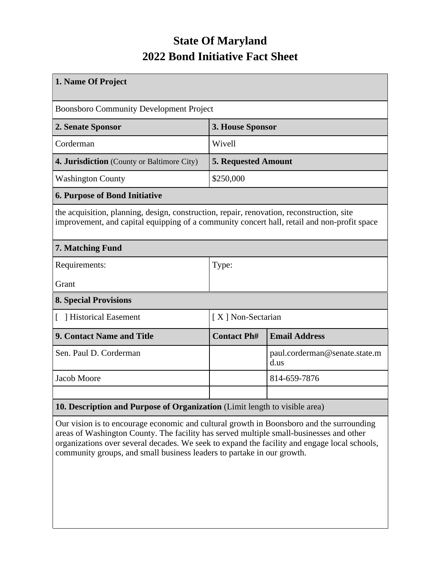## **State Of Maryland 2022 Bond Initiative Fact Sheet**

| 1. Name Of Project                                                                                                                                                                       |                            |                                       |  |  |  |
|------------------------------------------------------------------------------------------------------------------------------------------------------------------------------------------|----------------------------|---------------------------------------|--|--|--|
| <b>Boonsboro Community Development Project</b>                                                                                                                                           |                            |                                       |  |  |  |
| 2. Senate Sponsor                                                                                                                                                                        | 3. House Sponsor           |                                       |  |  |  |
| Corderman                                                                                                                                                                                | Wivell                     |                                       |  |  |  |
| 4. Jurisdiction (County or Baltimore City)                                                                                                                                               | <b>5. Requested Amount</b> |                                       |  |  |  |
| <b>Washington County</b>                                                                                                                                                                 | \$250,000                  |                                       |  |  |  |
| <b>6. Purpose of Bond Initiative</b>                                                                                                                                                     |                            |                                       |  |  |  |
| the acquisition, planning, design, construction, repair, renovation, reconstruction, site<br>improvement, and capital equipping of a community concert hall, retail and non-profit space |                            |                                       |  |  |  |
| 7. Matching Fund                                                                                                                                                                         |                            |                                       |  |  |  |
| Requirements:                                                                                                                                                                            | Type:                      |                                       |  |  |  |
| Grant                                                                                                                                                                                    |                            |                                       |  |  |  |
| <b>8. Special Provisions</b>                                                                                                                                                             |                            |                                       |  |  |  |
| [ ] Historical Easement                                                                                                                                                                  | [X] Non-Sectarian          |                                       |  |  |  |
| <b>9. Contact Name and Title</b>                                                                                                                                                         | <b>Contact Ph#</b>         | <b>Email Address</b>                  |  |  |  |
| Sen. Paul D. Corderman                                                                                                                                                                   |                            | paul.corderman@senate.state.m<br>d.us |  |  |  |
| Jacob Moore                                                                                                                                                                              |                            | 814-659-7876                          |  |  |  |
|                                                                                                                                                                                          |                            |                                       |  |  |  |
| 10. Description and Purpose of Organization (Limit length to visible area)                                                                                                               |                            |                                       |  |  |  |

Our vision is to encourage economic and cultural growth in Boonsboro and the surrounding areas of Washington County. The facility has served multiple small-businesses and other organizations over several decades. We seek to expand the facility and engage local schools, community groups, and small business leaders to partake in our growth.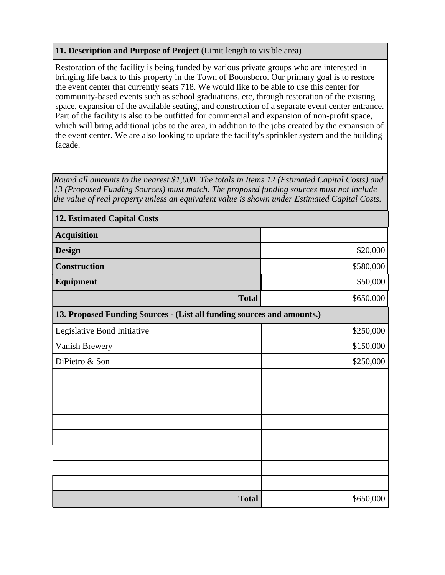## **11. Description and Purpose of Project** (Limit length to visible area)

Restoration of the facility is being funded by various private groups who are interested in bringing life back to this property in the Town of Boonsboro. Our primary goal is to restore the event center that currently seats 718. We would like to be able to use this center for community-based events such as school graduations, etc, through restoration of the existing space, expansion of the available seating, and construction of a separate event center entrance. Part of the facility is also to be outfitted for commercial and expansion of non-profit space, which will bring additional jobs to the area, in addition to the jobs created by the expansion of the event center. We are also looking to update the facility's sprinkler system and the building facade.

*Round all amounts to the nearest \$1,000. The totals in Items 12 (Estimated Capital Costs) and 13 (Proposed Funding Sources) must match. The proposed funding sources must not include the value of real property unless an equivalent value is shown under Estimated Capital Costs.*

| <b>12. Estimated Capital Costs</b>                                     |           |  |  |  |
|------------------------------------------------------------------------|-----------|--|--|--|
| <b>Acquisition</b>                                                     |           |  |  |  |
| <b>Design</b>                                                          | \$20,000  |  |  |  |
| <b>Construction</b>                                                    | \$580,000 |  |  |  |
| Equipment                                                              | \$50,000  |  |  |  |
| <b>Total</b>                                                           | \$650,000 |  |  |  |
| 13. Proposed Funding Sources - (List all funding sources and amounts.) |           |  |  |  |
| Legislative Bond Initiative                                            | \$250,000 |  |  |  |
| Vanish Brewery                                                         | \$150,000 |  |  |  |
| DiPietro & Son                                                         | \$250,000 |  |  |  |
|                                                                        |           |  |  |  |
|                                                                        |           |  |  |  |
|                                                                        |           |  |  |  |
|                                                                        |           |  |  |  |
|                                                                        |           |  |  |  |
|                                                                        |           |  |  |  |
|                                                                        |           |  |  |  |
|                                                                        |           |  |  |  |
| <b>Total</b>                                                           | \$650,000 |  |  |  |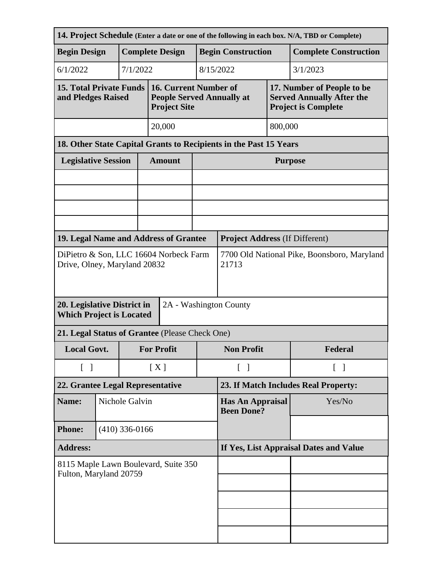| 14. Project Schedule (Enter a date or one of the following in each box. N/A, TBD or Complete) |        |                   |                                                      |                                                                                  |                                              |                                       |                                   |                                                                                              |  |
|-----------------------------------------------------------------------------------------------|--------|-------------------|------------------------------------------------------|----------------------------------------------------------------------------------|----------------------------------------------|---------------------------------------|-----------------------------------|----------------------------------------------------------------------------------------------|--|
| <b>Begin Design</b>                                                                           |        |                   | <b>Complete Design</b>                               |                                                                                  |                                              | <b>Begin Construction</b>             |                                   | <b>Complete Construction</b>                                                                 |  |
| 6/1/2022                                                                                      |        | 7/1/2022          |                                                      |                                                                                  |                                              | 8/15/2022<br>3/1/2023                 |                                   |                                                                                              |  |
| <b>15. Total Private Funds</b><br>and Pledges Raised                                          |        |                   |                                                      | 16. Current Number of<br><b>People Served Annually at</b><br><b>Project Site</b> |                                              |                                       |                                   | 17. Number of People to be<br><b>Served Annually After the</b><br><b>Project is Complete</b> |  |
|                                                                                               | 20,000 |                   |                                                      |                                                                                  | 800,000                                      |                                       |                                   |                                                                                              |  |
| 18. Other State Capital Grants to Recipients in the Past 15 Years                             |        |                   |                                                      |                                                                                  |                                              |                                       |                                   |                                                                                              |  |
| <b>Legislative Session</b>                                                                    |        |                   |                                                      | <b>Amount</b>                                                                    |                                              | <b>Purpose</b>                        |                                   |                                                                                              |  |
|                                                                                               |        |                   |                                                      |                                                                                  |                                              |                                       |                                   |                                                                                              |  |
|                                                                                               |        |                   |                                                      |                                                                                  |                                              |                                       |                                   |                                                                                              |  |
|                                                                                               |        |                   |                                                      |                                                                                  |                                              |                                       |                                   |                                                                                              |  |
| 19. Legal Name and Address of Grantee                                                         |        |                   |                                                      |                                                                                  |                                              | <b>Project Address (If Different)</b> |                                   |                                                                                              |  |
| DiPietro & Son, LLC 16604 Norbeck Farm<br>Drive, Olney, Maryland 20832                        |        |                   | 7700 Old National Pike, Boonsboro, Maryland<br>21713 |                                                                                  |                                              |                                       |                                   |                                                                                              |  |
| 20. Legislative District in<br>2A - Washington County<br><b>Which Project is Located</b>      |        |                   |                                                      |                                                                                  |                                              |                                       |                                   |                                                                                              |  |
| 21. Legal Status of Grantee (Please Check One)                                                |        |                   |                                                      |                                                                                  |                                              |                                       |                                   |                                                                                              |  |
| <b>Local Govt.</b>                                                                            |        | <b>For Profit</b> |                                                      |                                                                                  | <b>Non Profit</b>                            |                                       | Federal                           |                                                                                              |  |
| $\begin{bmatrix} 1 \end{bmatrix}$                                                             |        |                   | [X]                                                  |                                                                                  | $\begin{bmatrix} 1 \end{bmatrix}$            |                                       | $\begin{bmatrix} 1 \end{bmatrix}$ |                                                                                              |  |
| 22. Grantee Legal Representative                                                              |        |                   | 23. If Match Includes Real Property:                 |                                                                                  |                                              |                                       |                                   |                                                                                              |  |
| Name:                                                                                         |        |                   | Nichole Galvin                                       |                                                                                  | <b>Has An Appraisal</b><br><b>Been Done?</b> |                                       | Yes/No                            |                                                                                              |  |
| <b>Phone:</b>                                                                                 |        | $(410)$ 336-0166  |                                                      |                                                                                  |                                              |                                       |                                   |                                                                                              |  |
| <b>Address:</b>                                                                               |        |                   | If Yes, List Appraisal Dates and Value               |                                                                                  |                                              |                                       |                                   |                                                                                              |  |
| 8115 Maple Lawn Boulevard, Suite 350                                                          |        |                   |                                                      |                                                                                  |                                              |                                       |                                   |                                                                                              |  |
| Fulton, Maryland 20759                                                                        |        |                   |                                                      |                                                                                  |                                              |                                       |                                   |                                                                                              |  |
|                                                                                               |        |                   |                                                      |                                                                                  |                                              |                                       |                                   |                                                                                              |  |
|                                                                                               |        |                   |                                                      |                                                                                  |                                              |                                       |                                   |                                                                                              |  |
|                                                                                               |        |                   |                                                      |                                                                                  |                                              |                                       |                                   |                                                                                              |  |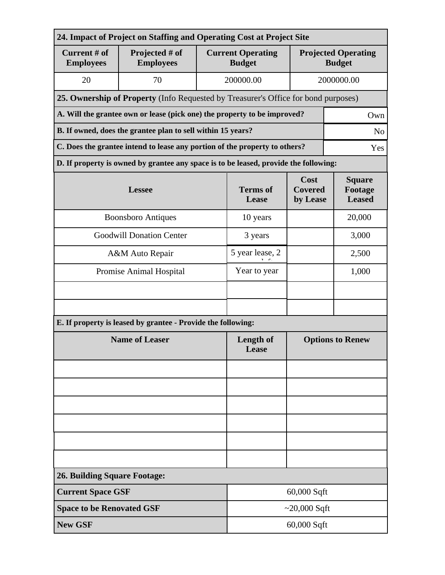| 24. Impact of Project on Staffing and Operating Cost at Project Site          |                                                                                      |                          |                                           |                                           |                                             |  |  |
|-------------------------------------------------------------------------------|--------------------------------------------------------------------------------------|--------------------------|-------------------------------------------|-------------------------------------------|---------------------------------------------|--|--|
| Current # of<br><b>Employees</b>                                              | Projected # of<br><b>Employees</b>                                                   |                          | <b>Current Operating</b><br><b>Budget</b> |                                           | <b>Projected Operating</b><br><b>Budget</b> |  |  |
| 20                                                                            | 70                                                                                   |                          | 200000.00                                 |                                           | 2000000.00                                  |  |  |
|                                                                               | 25. Ownership of Property (Info Requested by Treasurer's Office for bond purposes)   |                          |                                           |                                           |                                             |  |  |
|                                                                               | A. Will the grantee own or lease (pick one) the property to be improved?<br>Own      |                          |                                           |                                           |                                             |  |  |
| B. If owned, does the grantee plan to sell within 15 years?<br>N <sub>o</sub> |                                                                                      |                          |                                           |                                           |                                             |  |  |
|                                                                               | C. Does the grantee intend to lease any portion of the property to others?<br>Yes    |                          |                                           |                                           |                                             |  |  |
|                                                                               | D. If property is owned by grantee any space is to be leased, provide the following: |                          |                                           |                                           |                                             |  |  |
|                                                                               | <b>Lessee</b>                                                                        | <b>Terms of</b><br>Lease | Cost<br><b>Covered</b><br>by Lease        | <b>Square</b><br>Footage<br><b>Leased</b> |                                             |  |  |
|                                                                               | <b>Boonsboro Antiques</b>                                                            |                          | 10 years                                  |                                           | 20,000                                      |  |  |
| <b>Goodwill Donation Center</b>                                               |                                                                                      |                          | 3 years                                   |                                           | 3,000                                       |  |  |
|                                                                               | A&M Auto Repair                                                                      |                          | 5 year lease, 2                           |                                           | 2,500                                       |  |  |
| Promise Animal Hospital                                                       |                                                                                      | Year to year             |                                           | 1,000                                     |                                             |  |  |
|                                                                               |                                                                                      |                          |                                           |                                           |                                             |  |  |
|                                                                               |                                                                                      |                          |                                           |                                           |                                             |  |  |
|                                                                               | E. If property is leased by grantee - Provide the following:                         |                          |                                           |                                           |                                             |  |  |
| <b>Name of Leaser</b>                                                         |                                                                                      |                          | Length of<br>Lease                        | <b>Options to Renew</b>                   |                                             |  |  |
|                                                                               |                                                                                      |                          |                                           |                                           |                                             |  |  |
|                                                                               |                                                                                      |                          |                                           |                                           |                                             |  |  |
|                                                                               |                                                                                      |                          |                                           |                                           |                                             |  |  |
|                                                                               |                                                                                      |                          |                                           |                                           |                                             |  |  |
|                                                                               |                                                                                      |                          |                                           |                                           |                                             |  |  |
|                                                                               |                                                                                      |                          |                                           |                                           |                                             |  |  |
| <b>26. Building Square Footage:</b>                                           |                                                                                      |                          |                                           |                                           |                                             |  |  |
| <b>Current Space GSF</b>                                                      |                                                                                      |                          |                                           | 60,000 Sqft                               |                                             |  |  |
|                                                                               | <b>Space to be Renovated GSF</b><br>~20,000 Sqft                                     |                          |                                           |                                           |                                             |  |  |
| <b>New GSF</b>                                                                |                                                                                      |                          | 60,000 Sqft                               |                                           |                                             |  |  |